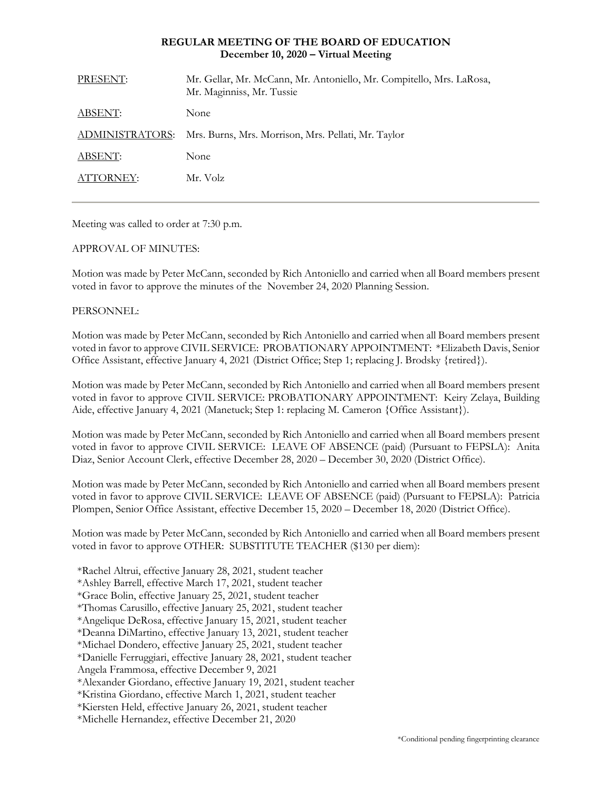# **REGULAR MEETING OF THE BOARD OF EDUCATION December 10, 2020 – Virtual Meeting**

| PRESENT:        | Mr. Gellar, Mr. McCann, Mr. Antoniello, Mr. Compitello, Mrs. LaRosa,<br>Mr. Maginniss, Mr. Tussie |
|-----------------|---------------------------------------------------------------------------------------------------|
| ABSENT:         | None                                                                                              |
| ADMINISTRATORS: | Mrs. Burns, Mrs. Morrison, Mrs. Pellati, Mr. Taylor                                               |
| ABSENT:         | None                                                                                              |
| ATTORNEY:       | Mr. Volz                                                                                          |
|                 |                                                                                                   |

Meeting was called to order at 7:30 p.m.

# APPROVAL OF MINUTES:

Motion was made by Peter McCann, seconded by Rich Antoniello and carried when all Board members present voted in favor to approve the minutes of the November 24, 2020 Planning Session.

# PERSONNEL:

Motion was made by Peter McCann, seconded by Rich Antoniello and carried when all Board members present voted in favor to approve CIVIL SERVICE: PROBATIONARY APPOINTMENT: \*Elizabeth Davis, Senior Office Assistant, effective January 4, 2021 (District Office; Step 1; replacing J. Brodsky {retired}).

Motion was made by Peter McCann, seconded by Rich Antoniello and carried when all Board members present voted in favor to approve CIVIL SERVICE: PROBATIONARY APPOINTMENT: Keiry Zelaya, Building Aide, effective January 4, 2021 (Manetuck; Step 1: replacing M. Cameron {Office Assistant}).

Motion was made by Peter McCann, seconded by Rich Antoniello and carried when all Board members present voted in favor to approve CIVIL SERVICE: LEAVE OF ABSENCE (paid) (Pursuant to FEPSLA): Anita Diaz, Senior Account Clerk, effective December 28, 2020 – December 30, 2020 (District Office).

Motion was made by Peter McCann, seconded by Rich Antoniello and carried when all Board members present voted in favor to approve CIVIL SERVICE: LEAVE OF ABSENCE (paid) (Pursuant to FEPSLA): Patricia Plompen, Senior Office Assistant, effective December 15, 2020 – December 18, 2020 (District Office).

Motion was made by Peter McCann, seconded by Rich Antoniello and carried when all Board members present voted in favor to approve OTHER: SUBSTITUTE TEACHER (\$130 per diem):

- \*Rachel Altrui, effective January 28, 2021, student teacher
- \*Ashley Barrell, effective March 17, 2021, student teacher
- \*Grace Bolin, effective January 25, 2021, student teacher
- \*Thomas Carusillo, effective January 25, 2021, student teacher
- \*Angelique DeRosa, effective January 15, 2021, student teacher
- \*Deanna DiMartino, effective January 13, 2021, student teacher
- \*Michael Dondero, effective January 25, 2021, student teacher
- \*Danielle Ferruggiari, effective January 28, 2021, student teacher
- Angela Frammosa, effective December 9, 2021
- \*Alexander Giordano, effective January 19, 2021, student teacher
- \*Kristina Giordano, effective March 1, 2021, student teacher
- \*Kiersten Held, effective January 26, 2021, student teacher
- \*Michelle Hernandez, effective December 21, 2020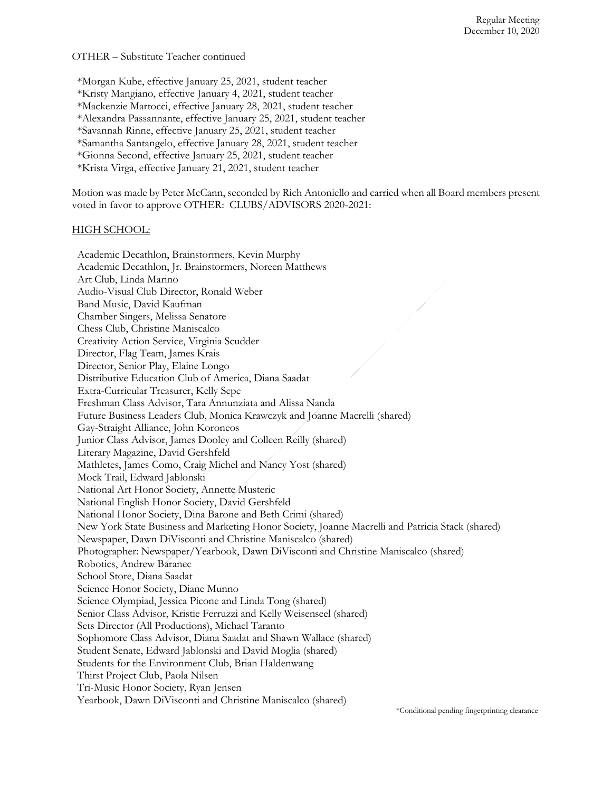OTHER – Substitute Teacher continued

\*Morgan Kube, effective January 25, 2021, student teacher

\*Kristy Mangiano, effective January 4, 2021, student teacher

\*Mackenzie Martocci, effective January 28, 2021, student teacher

\*Alexandra Passannante, effective January 25, 2021, student teacher

\*Savannah Rinne, effective January 25, 2021, student teacher

\*Samantha Santangelo, effective January 28, 2021, student teacher

\*Gionna Second, effective January 25, 2021, student teacher

\*Krista Virga, effective January 21, 2021, student teacher

Motion was made by Peter McCann, seconded by Rich Antoniello and carried when all Board members present voted in favor to approve OTHER: CLUBS/ADVISORS 2020-2021:

#### HIGH SCHOOL:

Academic Decathlon, Brainstormers, Kevin Murphy Academic Decathlon, Jr. Brainstormers, Noreen Matthews Art Club, Linda Marino Audio-Visual Club Director, Ronald Weber Band Music, David Kaufman Chamber Singers, Melissa Senatore Chess Club, Christine Maniscalco Creativity Action Service, Virginia Scudder Director, Flag Team, James Krais Director, Senior Play, Elaine Longo Distributive Education Club of America, Diana Saadat Extra-Curricular Treasurer, Kelly Sepe Freshman Class Advisor, Tara Annunziata and Alissa Nanda Future Business Leaders Club, Monica Krawczyk and Joanne Macrelli (shared) Gay-Straight Alliance, John Koroneos Junior Class Advisor, James Dooley and Colleen Reilly (shared) Literary Magazine, David Gershfeld Mathletes, James Como, Craig Michel and Nancy Yost (shared) Mock Trail, Edward Jablonski National Art Honor Society, Annette Musteric National English Honor Society, David Gershfeld National Honor Society, Dina Barone and Beth Crimi (shared) New York State Business and Marketing Honor Society, Joanne Macrelli and Patricia Stack (shared) Newspaper, Dawn DiVisconti and Christine Maniscalco (shared) Photographer: Newspaper/Yearbook, Dawn DiVisconti and Christine Maniscalco (shared) Robotics, Andrew Baranec School Store, Diana Saadat Science Honor Society, Diane Munno Science Olympiad, Jessica Picone and Linda Tong (shared) Senior Class Advisor, Kristie Ferruzzi and Kelly Weisenseel (shared) Sets Director (All Productions), Michael Taranto Sophomore Class Advisor, Diana Saadat and Shawn Wallace (shared) Student Senate, Edward Jablonski and David Moglia (shared) Students for the Environment Club, Brian Haldenwang Thirst Project Club, Paola Nilsen Tri-Music Honor Society, Ryan Jensen Yearbook, Dawn DiVisconti and Christine Maniscalco (shared)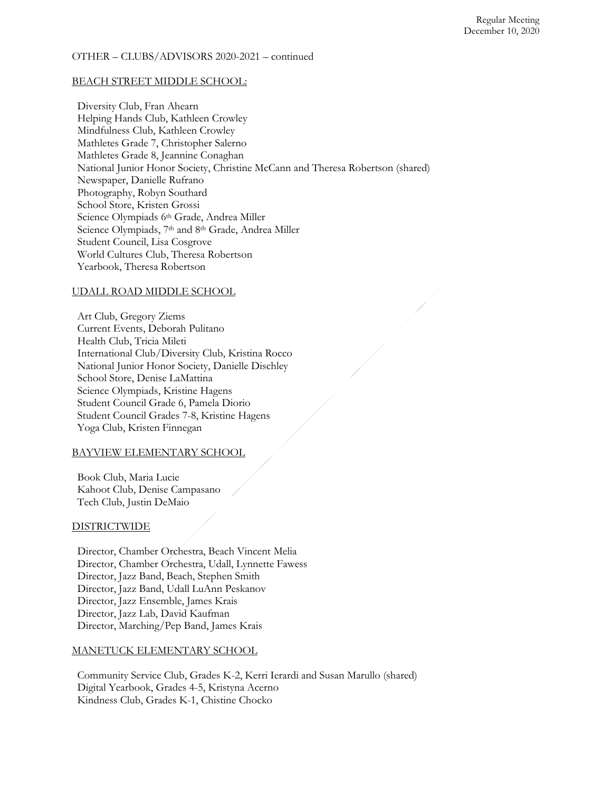#### OTHER – CLUBS/ADVISORS 2020-2021 – continued

#### BEACH STREET MIDDLE SCHOOL:

Diversity Club, Fran Ahearn Helping Hands Club, Kathleen Crowley Mindfulness Club, Kathleen Crowley Mathletes Grade 7, Christopher Salerno Mathletes Grade 8, Jeannine Conaghan National Junior Honor Society, Christine McCann and Theresa Robertson (shared) Newspaper, Danielle Rufrano Photography, Robyn Southard School Store, Kristen Grossi Science Olympiads 6th Grade, Andrea Miller Science Olympiads, 7th and 8th Grade, Andrea Miller Student Council, Lisa Cosgrove World Cultures Club, Theresa Robertson Yearbook, Theresa Robertson

## UDALL ROAD MIDDLE SCHOOL

Art Club, Gregory Ziems Current Events, Deborah Pulitano Health Club, Tricia Mileti International Club/Diversity Club, Kristina Rocco National Junior Honor Society, Danielle Dischley School Store, Denise LaMattina Science Olympiads, Kristine Hagens Student Council Grade 6, Pamela Diorio Student Council Grades 7-8, Kristine Hagens Yoga Club, Kristen Finnegan

## BAYVIEW ELEMENTARY SCHOOL

Book Club, Maria Lucie Kahoot Club, Denise Campasano Tech Club, Justin DeMaio

#### **DISTRICTWIDE**

Director, Chamber Orchestra, Beach Vincent Melia Director, Chamber Orchestra, Udall, Lynnette Fawess Director, Jazz Band, Beach, Stephen Smith Director, Jazz Band, Udall LuAnn Peskanov Director, Jazz Ensemble, James Krais Director, Jazz Lab, David Kaufman Director, Marching/Pep Band, James Krais

# MANETUCK ELEMENTARY SCHOOL

Community Service Club, Grades K-2, Kerri Ierardi and Susan Marullo (shared) Digital Yearbook, Grades 4-5, Kristyna Acerno Kindness Club, Grades K-1, Chistine Chocko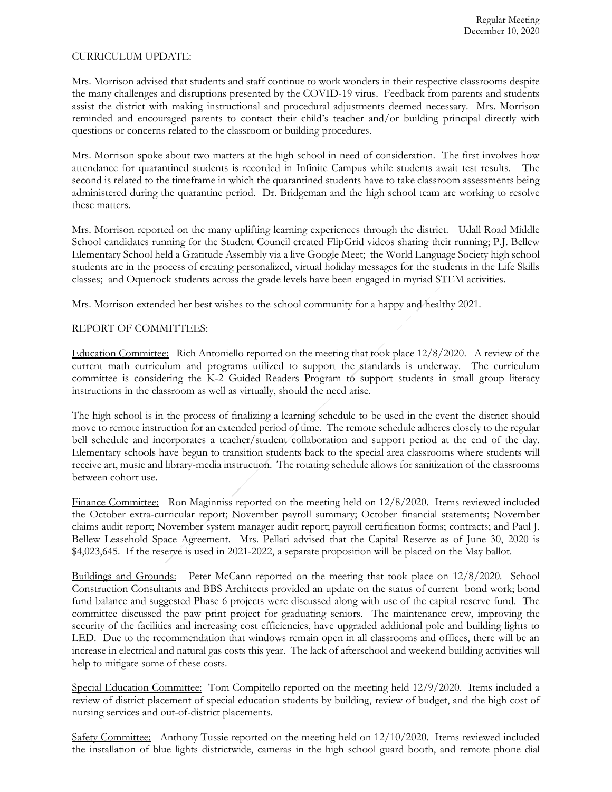### CURRICULUM UPDATE:

Mrs. Morrison advised that students and staff continue to work wonders in their respective classrooms despite the many challenges and disruptions presented by the COVID-19 virus. Feedback from parents and students assist the district with making instructional and procedural adjustments deemed necessary. Mrs. Morrison reminded and encouraged parents to contact their child's teacher and/or building principal directly with questions or concerns related to the classroom or building procedures.

Mrs. Morrison spoke about two matters at the high school in need of consideration. The first involves how attendance for quarantined students is recorded in Infinite Campus while students await test results. The second is related to the timeframe in which the quarantined students have to take classroom assessments being administered during the quarantine period. Dr. Bridgeman and the high school team are working to resolve these matters.

Mrs. Morrison reported on the many uplifting learning experiences through the district. Udall Road Middle School candidates running for the Student Council created FlipGrid videos sharing their running; P.J. Bellew Elementary School held a Gratitude Assembly via a live Google Meet; the World Language Society high school students are in the process of creating personalized, virtual holiday messages for the students in the Life Skills classes; and Oquenock students across the grade levels have been engaged in myriad STEM activities.

Mrs. Morrison extended her best wishes to the school community for a happy and healthy 2021.

# REPORT OF COMMITTEES:

Education Committee: Rich Antoniello reported on the meeting that took place 12/8/2020. A review of the current math curriculum and programs utilized to support the standards is underway. The curriculum committee is considering the K-2 Guided Readers Program to support students in small group literacy instructions in the classroom as well as virtually, should the need arise.

The high school is in the process of finalizing a learning schedule to be used in the event the district should move to remote instruction for an extended period of time. The remote schedule adheres closely to the regular bell schedule and incorporates a teacher/student collaboration and support period at the end of the day. Elementary schools have begun to transition students back to the special area classrooms where students will receive art, music and library-media instruction. The rotating schedule allows for sanitization of the classrooms between cohort use.

Finance Committee: Ron Maginniss reported on the meeting held on 12/8/2020. Items reviewed included the October extra-curricular report; November payroll summary; October financial statements; November claims audit report; November system manager audit report; payroll certification forms; contracts; and Paul J. Bellew Leasehold Space Agreement. Mrs. Pellati advised that the Capital Reserve as of June 30, 2020 is \$4,023,645. If the reserve is used in 2021-2022, a separate proposition will be placed on the May ballot.

Buildings and Grounds: Peter McCann reported on the meeting that took place on 12/8/2020*.* School Construction Consultants and BBS Architects provided an update on the status of current bond work; bond fund balance and suggested Phase 6 projects were discussed along with use of the capital reserve fund. The committee discussed the paw print project for graduating seniors. The maintenance crew, improving the security of the facilities and increasing cost efficiencies, have upgraded additional pole and building lights to LED. Due to the recommendation that windows remain open in all classrooms and offices, there will be an increase in electrical and natural gas costs this year. The lack of afterschool and weekend building activities will help to mitigate some of these costs.

Special Education Committee: Tom Compitello reported on the meeting held 12/9/2020. Items included a review of district placement of special education students by building, review of budget, and the high cost of nursing services and out-of-district placements.

Safety Committee: Anthony Tussie reported on the meeting held on 12/10/2020. Items reviewed included the installation of blue lights districtwide, cameras in the high school guard booth, and remote phone dial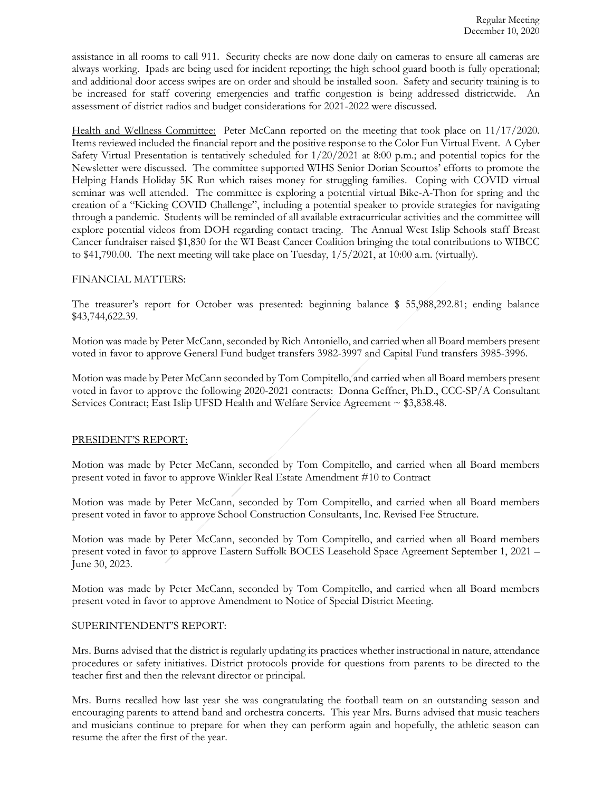assistance in all rooms to call 911. Security checks are now done daily on cameras to ensure all cameras are always working. Ipads are being used for incident reporting; the high school guard booth is fully operational; and additional door access swipes are on order and should be installed soon. Safety and security training is to be increased for staff covering emergencies and traffic congestion is being addressed districtwide. An assessment of district radios and budget considerations for 2021-2022 were discussed.

Health and Wellness Committee: Peter McCann reported on the meeting that took place on 11/17/2020*.*  Items reviewed included the financial report and the positive response to the Color Fun Virtual Event. A Cyber Safety Virtual Presentation is tentatively scheduled for 1/20/2021 at 8:00 p.m.; and potential topics for the Newsletter were discussed. The committee supported WIHS Senior Dorian Scourtos' efforts to promote the Helping Hands Holiday 5K Run which raises money for struggling families. Coping with COVID virtual seminar was well attended. The committee is exploring a potential virtual Bike-A-Thon for spring and the creation of a "Kicking COVID Challenge", including a potential speaker to provide strategies for navigating through a pandemic. Students will be reminded of all available extracurricular activities and the committee will explore potential videos from DOH regarding contact tracing. The Annual West Islip Schools staff Breast Cancer fundraiser raised \$1,830 for the WI Beast Cancer Coalition bringing the total contributions to WIBCC to  $$41,790.00$ . The next meeting will take place on Tuesday,  $1/5/2021$ , at 10:00 a.m. (virtually).

#### FINANCIAL MATTERS:

The treasurer's report for October was presented: beginning balance \$ 55,988,292.81; ending balance \$43,744,622.39.

Motion was made by Peter McCann, seconded by Rich Antoniello, and carried when all Board members present voted in favor to approve General Fund budget transfers 3982-3997 and Capital Fund transfers 3985-3996.

Motion was made by Peter McCann seconded by Tom Compitello, and carried when all Board members present voted in favor to approve the following 2020-2021 contracts: Donna Geffner, Ph.D., CCC-SP/A Consultant Services Contract; East Islip UFSD Health and Welfare Service Agreement ~ \$3,838.48.

## PRESIDENT'S REPORT:

Motion was made by Peter McCann, seconded by Tom Compitello, and carried when all Board members present voted in favor to approve Winkler Real Estate Amendment #10 to Contract

Motion was made by Peter McCann, seconded by Tom Compitello, and carried when all Board members present voted in favor to approve School Construction Consultants, Inc. Revised Fee Structure.

Motion was made by Peter McCann, seconded by Tom Compitello, and carried when all Board members present voted in favor to approve Eastern Suffolk BOCES Leasehold Space Agreement September 1, 2021 – June 30, 2023.

Motion was made by Peter McCann, seconded by Tom Compitello, and carried when all Board members present voted in favor to approve Amendment to Notice of Special District Meeting.

#### SUPERINTENDENT'S REPORT:

Mrs. Burns advised that the district is regularly updating its practices whether instructional in nature, attendance procedures or safety initiatives. District protocols provide for questions from parents to be directed to the teacher first and then the relevant director or principal.

Mrs. Burns recalled how last year she was congratulating the football team on an outstanding season and encouraging parents to attend band and orchestra concerts. This year Mrs. Burns advised that music teachers and musicians continue to prepare for when they can perform again and hopefully, the athletic season can resume the after the first of the year.